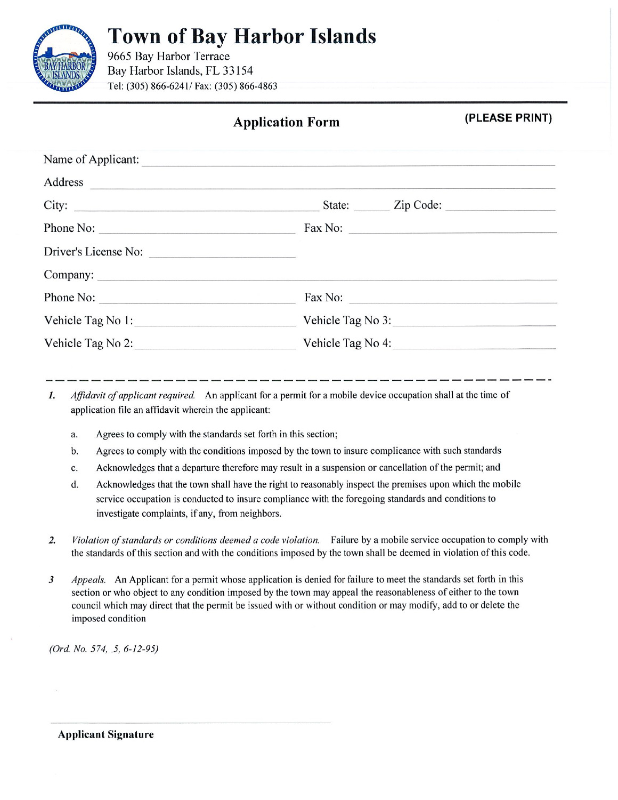

## **Town of Bay Harbor Islands**

9665 Bay Harbor Terrace Bay Harbor Islands, FL 33154 Tel: (305) 866-6241/ Fax: (305) 866-4863

## **Application Form**

(PLEASE PRINT)

| Name of Applicant:   |                         |
|----------------------|-------------------------|
|                      |                         |
| City:                | State: <u>Zip Code:</u> |
| Phone No:            | $\text{Fax No: }$       |
| Driver's License No: |                         |
| Company:             |                         |
| Phone No:            | $\text{Fax No: }$       |
| Vehicle Tag No 1:    | Vehicle Tag No 3:       |
| Vehicle Tag No 2:    | Vehicle Tag No 4:       |
|                      |                         |

Affidavit of applicant required. An applicant for a permit for a mobile device occupation shall at the time of 1. application file an affidavit wherein the applicant:

- Agrees to comply with the standards set forth in this section; a.
- Agrees to comply with the conditions imposed by the town to insure complicance with such standards b.
- Acknowledges that a departure therefore may result in a suspension or cancellation of the permit; and c.
- Acknowledges that the town shall have the right to reasonably inspect the premises upon which the mobile d. service occupation is conducted to insure compliance with the foregoing standards and conditions to investigate complaints, if any, from neighbors.
- $2.$ Violation of standards or conditions deemed a code violation. Failure by a mobile service occupation to comply with the standards of this section and with the conditions imposed by the town shall be deemed in violation of this code.
- $\boldsymbol{\beta}$ Appeals. An Applicant for a permit whose application is denied for failure to meet the standards set forth in this section or who object to any condition imposed by the town may appeal the reasonableness of either to the town council which may direct that the permit be issued with or without condition or may modify, add to or delete the imposed condition

(Ord. No. 574, 5, 6-12-95)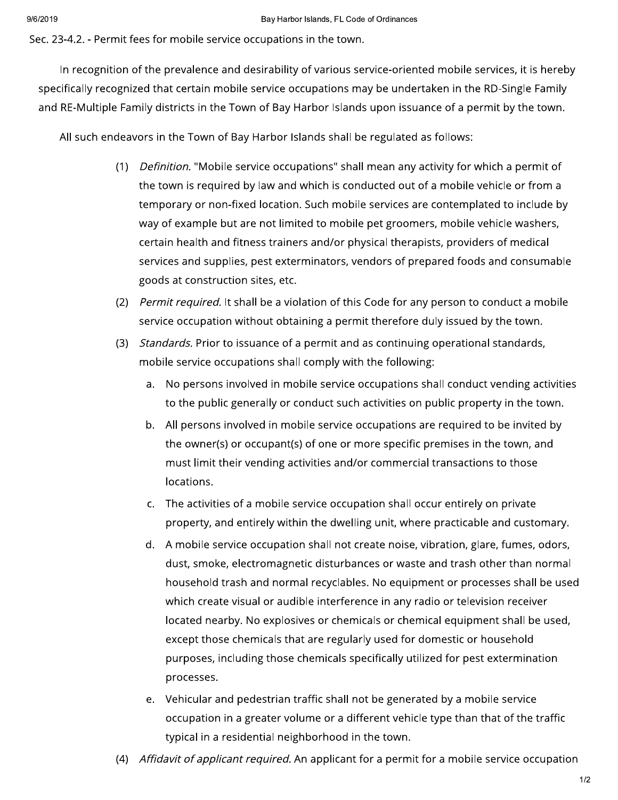Sec. 23-4.2. - Permit fees for mobile service occupations in the town.

In recognition of the prevalence and desirability of various service-oriented mobile services, it is hereby specifically recognized that certain mobile service occupations may be undertaken in the RD-Single Family and RE-Multiple Family districts in the Town of Bay Harbor Islands upon issuance of a permit by the town.

All such endeavors in the Town of Bay Harbor Islands shall be regulated as follows:

- (1) Definition. "Mobile service occupations" shall mean any activity for which a permit of the town is required by law and which is conducted out of a mobile vehicle or from a temporary or non-fixed location. Such mobile services are contemplated to include by way of example but are not limited to mobile pet groomers, mobile vehicle washers, certain health and fitness trainers and/or physical therapists, providers of medical services and supplies, pest exterminators, vendors of prepared foods and consumable goods at construction sites, etc.
- (2) *Permit required.* It shall be a violation of this Code for any person to conduct a mobile service occupation without obtaining a permit therefore duly issued by the town.
- $(3)$ Standards. Prior to issuance of a permit and as continuing operational standards, mobile service occupations shall comply with the following:
	- a. No persons involved in mobile service occupations shall conduct vending activities to the public generally or conduct such activities on public property in the town.
	- All persons involved in mobile service occupations are required to be invited by  $b.$ the owner(s) or occupant(s) of one or more specific premises in the town, and must limit their vending activities and/or commercial transactions to those locations.
	- The activities of a mobile service occupation shall occur entirely on private  $C_{\star}$ property, and entirely within the dwelling unit, where practicable and customary.
	- d. A mobile service occupation shall not create noise, vibration, glare, fumes, odors, dust, smoke, electromagnetic disturbances or waste and trash other than normal household trash and normal recyclables. No equipment or processes shall be used which create visual or audible interference in any radio or television receiver located nearby. No explosives or chemicals or chemical equipment shall be used, except those chemicals that are regularly used for domestic or household purposes, including those chemicals specifically utilized for pest extermination processes.
	- e. Vehicular and pedestrian traffic shall not be generated by a mobile service occupation in a greater volume or a different vehicle type than that of the traffic typical in a residential neighborhood in the town.
- Affidavit of applicant required. An applicant for a permit for a mobile service occupation  $(4)$